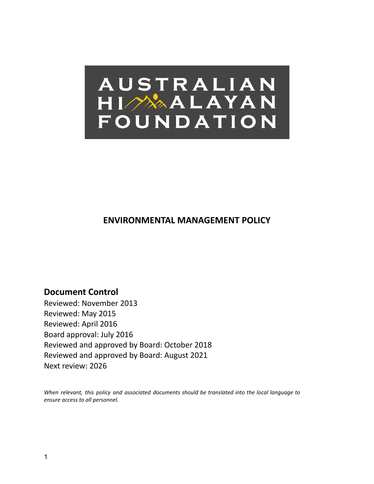

# **ENVIRONMENTAL MANAGEMENT POLICY**

**Document Control** Reviewed: November 2013 Reviewed: May 2015 Reviewed: April 2016 Board approval: July 2016 Reviewed and approved by Board: October 2018 Reviewed and approved by Board: August 2021 Next review: 2026

*When relevant, this policy and associated documents should be translated into the local language to ensure access to all personnel.*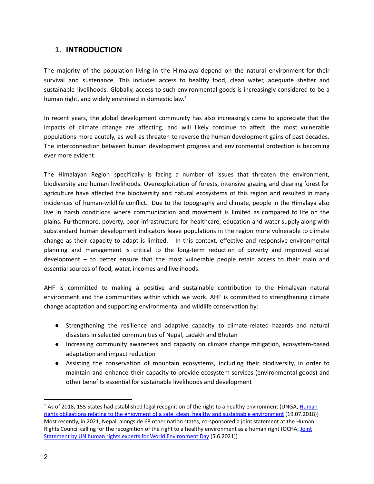### **1. INTRODUCTION**

The majority of the population living in the Himalaya depend on the natural environment for their survival and sustenance. This includes access to healthy food, clean water, adequate shelter and sustainable livelihoods. Globally, access to such environmental goods is increasingly considered to be a human right, and widely enshrined in domestic law.<sup>1</sup>

In recent years, the global development community has also increasingly come to appreciate that the impacts of climate change are affecting, and will likely continue to affect, the most vulnerable populations more acutely, as well as threaten to reverse the human development gains of past decades. The interconnection between human development progress and environmental protection is becoming ever more evident.

The Himalayan Region specifically is facing a number of issues that threaten the environment, biodiversity and human livelihoods. Overexploitation of forests, intensive grazing and clearing forest for agriculture have affected the biodiversity and natural ecosystems of this region and resulted in many incidences of human-wildlife conflict. Due to the topography and climate, people in the Himalaya also live in harsh conditions where communication and movement is limited as compared to life on the plains. Furthermore, poverty, poor infrastructure for healthcare, education and water supply along with substandard human development indicators leave populations in the region more vulnerable to climate change as their capacity to adapt is limited. In this context, effective and responsive environmental planning and management is critical to the long-term reduction of poverty and improved social development – to better ensure that the most vulnerable people retain access to their main and essential sources of food, water, incomes and livelihoods.

AHF is committed to making a positive and sustainable contribution to the Himalayan natural environment and the communities within which we work. AHF is committed to strengthening climate change adaptation and supporting environmental and wildlife conservation by:

- Strengthening the resilience and adaptive capacity to climate-related hazards and natural disasters in selected communities of Nepal, Ladakh and Bhutan
- Increasing community awareness and capacity on climate change mitigation, ecosystem-based adaptation and impact reduction
- Assisting the conservation of mountain ecosystems, including their biodiversity, in order to maintain and enhance their capacity to provide ecosystem services (environmental goods) and other benefits essential for sustainable livelihoods and development

<sup>&</sup>lt;sup>1</sup> As of 2018, 155 States had established legal recognition of the right to a healthy environment (UNGA, [Human](http://srenvironment.org/sites/default/files/Reports/2018/Boyd%20Knox%20UNGA%20report%202018.pdf) rights obligations relating to the enjoyment of a safe, clean, healthy and sustainable [environment](http://srenvironment.org/sites/default/files/Reports/2018/Boyd%20Knox%20UNGA%20report%202018.pdf) (19.07.2018)) Most recently, in 2021, Nepal, alongside 68 other nation states, co-sponsored a joint statement at the Human Rights Council calling for the recognition of the right to a healthy environment as a human right (OCHA, [Joint](https://www.ohchr.org/EN/HRBodies/HRC/Pages/NewsDetail.aspx?NewsID=27130&LangID=E) Statement by UN human rights experts for World [Environment](https://www.ohchr.org/EN/HRBodies/HRC/Pages/NewsDetail.aspx?NewsID=27130&LangID=E) Day (5.6.2021))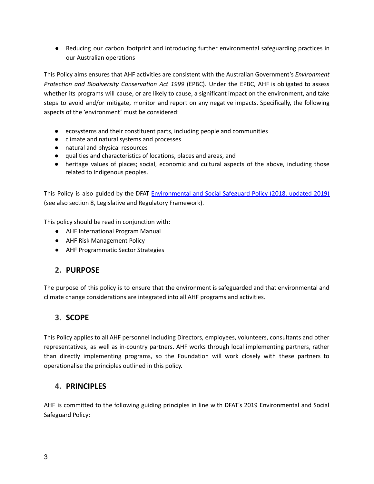● Reducing our carbon footprint and introducing further environmental safeguarding practices in our Australian operations

This Policy aims ensures that AHF activities are consistent with the Australian Government's *Environment Protection and Biodiversity Conservation Act 1999* (EPBC). Under the EPBC, AHF is obligated to assess whether its programs will cause, or are likely to cause, a significant impact on the environment, and take steps to avoid and/or mitigate, monitor and report on any negative impacts. Specifically, the following aspects of the 'environment' must be considered:

- ecosystems and their constituent parts, including people and communities
- climate and natural systems and processes
- natural and physical resources
- qualities and characteristics of locations, places and areas, and
- heritage values of places; social, economic and cultural aspects of the above, including those related to Indigenous peoples.

This Policy is also guided by the DFAT [Environmental](https://www.dfat.gov.au/about-us/publications/Pages/environmental-social-safeguard-policy) and Social Safeguard Policy (2018, updated 2019) (see also section 8, Legislative and Regulatory Framework).

This policy should be read in conjunction with:

- AHF International Program Manual
- AHF Risk Management Policy
- AHF Programmatic Sector Strategies

# **2. PURPOSE**

The purpose of this policy is to ensure that the environment is safeguarded and that environmental and climate change considerations are integrated into all AHF programs and activities.

# **3. SCOPE**

This Policy applies to all AHF personnel including Directors, employees, volunteers, consultants and other representatives, as well as in-country partners. AHF works through local implementing partners, rather than directly implementing programs, so the Foundation will work closely with these partners to operationalise the principles outlined in this policy.

# **4. PRINCIPLES**

AHF is committed to the following guiding principles in line with DFAT's 2019 Environmental and Social Safeguard Policy: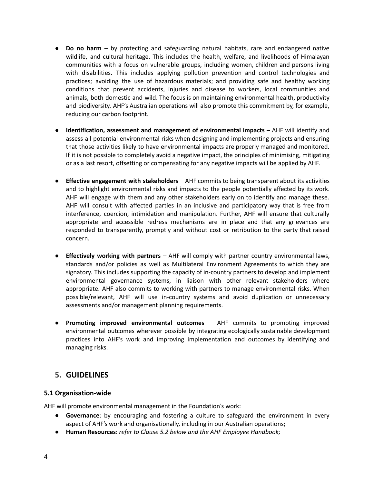- **Do no harm** by protecting and safeguarding natural habitats, rare and endangered native wildlife, and cultural heritage. This includes the health, welfare, and livelihoods of Himalayan communities with a focus on vulnerable groups, including women, children and persons living with disabilities. This includes applying pollution prevention and control technologies and practices; avoiding the use of hazardous materials; and providing safe and healthy working conditions that prevent accidents, injuries and disease to workers, local communities and animals, both domestic and wild. The focus is on maintaining environmental health, productivity and biodiversity. AHF's Australian operations will also promote this commitment by, for example, reducing our carbon footprint.
- **Identification, assessment and management of environmental impacts** AHF will identify and assess all potential environmental risks when designing and implementing projects and ensuring that those activities likely to have environmental impacts are properly managed and monitored. If it is not possible to completely avoid a negative impact, the principles of minimising, mitigating or as a last resort, offsetting or compensating for any negative impacts will be applied by AHF.
- **Effective engagement with stakeholders** AHF commits to being transparent about its activities and to highlight environmental risks and impacts to the people potentially affected by its work. AHF will engage with them and any other stakeholders early on to identify and manage these. AHF will consult with affected parties in an inclusive and participatory way that is free from interference, coercion, intimidation and manipulation. Further, AHF will ensure that culturally appropriate and accessible redress mechanisms are in place and that any grievances are responded to transparently, promptly and without cost or retribution to the party that raised concern.
- **Effectively working with partners** AHF will comply with partner country environmental laws, standards and/or policies as well as Multilateral Environment Agreements to which they are signatory. This includes supporting the capacity of in-country partners to develop and implement environmental governance systems, in liaison with other relevant stakeholders where appropriate. AHF also commits to working with partners to manage environmental risks. When possible/relevant, AHF will use in-country systems and avoid duplication or unnecessary assessments and/or management planning requirements.
- **Promoting improved environmental outcomes** AHF commits to promoting improved environmental outcomes wherever possible by integrating ecologically sustainable development practices into AHF's work and improving implementation and outcomes by identifying and managing risks.

# **5. GUIDELINES**

### **5.1 Organisation-wide**

AHF will promote environmental management in the Foundation's work:

- **Governance**: by encouraging and fostering a culture to safeguard the environment in every aspect of AHF's work and organisationally, including in our Australian operations;
- **Human Resources**: *refer to Clause 5.2 below and the AHF Employee Handbook;*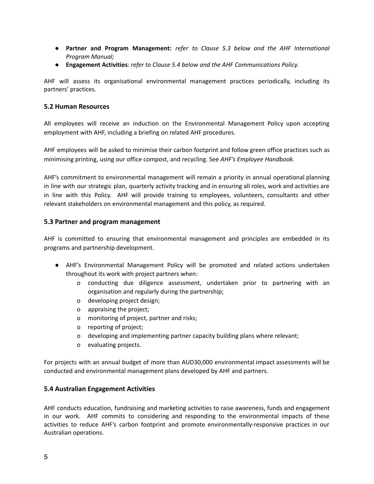- *●* **Partner and Program Management:** *refer to Clause 5.3 below and the AHF International Program Manual;*
- **Engagement Activities**: *refer to Clause 5.4 below and the AHF Communications Policy.*

AHF will assess its organisational environmental management practices periodically, including its partners' practices.

#### **5.2 Human Resources**

All employees will receive an induction on the Environmental Management Policy upon accepting employment with AHF, including a briefing on related AHF procedures.

AHF employees will be asked to minimise their carbon footprint and follow green office practices such as minimising printing, using our office compost, and recycling. See *AHF's Employee Handbook.*

AHF's commitment to environmental management will remain a priority in annual operational planning in line with our strategic plan, quarterly activity tracking and in ensuring all roles, work and activities are in line with this Policy. AHF will provide training to employees, volunteers, consultants and other relevant stakeholders on environmental management and this policy, as required.

#### **5.3 Partner and program management**

AHF is committed to ensuring that environmental management and principles are embedded in its programs and partnership development.

- AHF's Environmental Management Policy will be promoted and related actions undertaken throughout its work with project partners when:
	- o conducting due diligence assessment, undertaken prior to partnering with an organisation and regularly during the partnership;
	- o developing project design;
	- o appraising the project;
	- o monitoring of project, partner and risks;
	- o reporting of project;
	- o developing and implementing partner capacity building plans where relevant;
	- o evaluating projects.

For projects with an annual budget of more than AUD30,000 environmental impact assessments will be conducted and environmental management plans developed by AHF and partners.

#### **5.4 Australian Engagement Activities**

AHF conducts education, fundraising and marketing activities to raise awareness, funds and engagement in our work. AHF commits to considering and responding to the environmental impacts of these activities to reduce AHF's carbon footprint and promote environmentally-responsive practices in our Australian operations.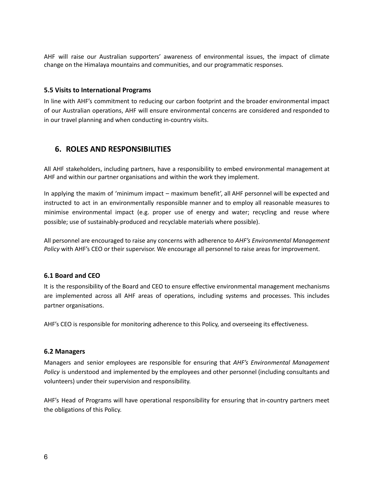AHF will raise our Australian supporters' awareness of environmental issues, the impact of climate change on the Himalaya mountains and communities, and our programmatic responses.

#### **5.5 Visits to International Programs**

In line with AHF's commitment to reducing our carbon footprint and the broader environmental impact of our Australian operations, AHF will ensure environmental concerns are considered and responded to in our travel planning and when conducting in-country visits.

# **6. ROLES AND RESPONSIBILITIES**

All AHF stakeholders, including partners, have a responsibility to embed environmental management at AHF and within our partner organisations and within the work they implement.

In applying the maxim of 'minimum impact – maximum benefit', all AHF personnel will be expected and instructed to act in an environmentally responsible manner and to employ all reasonable measures to minimise environmental impact (e.g. proper use of energy and water; recycling and reuse where possible; use of sustainably-produced and recyclable materials where possible).

All personnel are encouraged to raise any concerns with adherence to *AHF's Environmental Management Policy* with AHF's CEO or their supervisor. We encourage all personnel to raise areas for improvement.

### **6.1 Board and CEO**

It is the responsibility of the Board and CEO to ensure effective environmental management mechanisms are implemented across all AHF areas of operations, including systems and processes. This includes partner organisations.

AHF's CEO is responsible for monitoring adherence to this Policy, and overseeing its effectiveness.

#### **6.2 Managers**

Managers and senior employees are responsible for ensuring that *AHF's Environmental Management Policy* is understood and implemented by the employees and other personnel (including consultants and volunteers) under their supervision and responsibility.

AHF's Head of Programs will have operational responsibility for ensuring that in-country partners meet the obligations of this Policy.